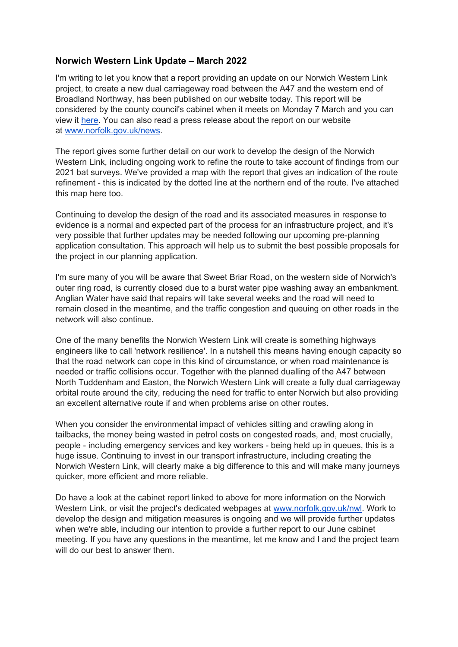## **Norwich Western Link Update – March 2022**

I'm writing to let you know that a report providing an update on our Norwich Western Link project, to create a new dual carriageway road between the A47 and the western end of Broadland Northway, has been published on our website today. This report will be considered by the county council's cabinet when it meets on Monday 7 March and you can view it [here.](https://norfolkcc.cmis.uk.com/norfolkcc/CalendarofMeetings/tabid/128/ctl/ViewMeetingPublic/mid/496/Meeting/1800/Committee/169/Default.aspx) You can also read a press release about the report on our website at [www.norfolk.gov.uk/news.](http://www.norfolk.gov.uk/news)

The report gives some further detail on our work to develop the design of the Norwich Western Link, including ongoing work to refine the route to take account of findings from our 2021 bat surveys. We've provided a map with the report that gives an indication of the route refinement - this is indicated by the dotted line at the northern end of the route. I've attached this map here too.

Continuing to develop the design of the road and its associated measures in response to evidence is a normal and expected part of the process for an infrastructure project, and it's very possible that further updates may be needed following our upcoming pre-planning application consultation. This approach will help us to submit the best possible proposals for the project in our planning application.

I'm sure many of you will be aware that Sweet Briar Road, on the western side of Norwich's outer ring road, is currently closed due to a burst water pipe washing away an embankment. Anglian Water have said that repairs will take several weeks and the road will need to remain closed in the meantime, and the traffic congestion and queuing on other roads in the network will also continue.

One of the many benefits the Norwich Western Link will create is something highways engineers like to call 'network resilience'. In a nutshell this means having enough capacity so that the road network can cope in this kind of circumstance, or when road maintenance is needed or traffic collisions occur. Together with the planned dualling of the A47 between North Tuddenham and Easton, the Norwich Western Link will create a fully dual carriageway orbital route around the city, reducing the need for traffic to enter Norwich but also providing an excellent alternative route if and when problems arise on other routes.

When you consider the environmental impact of vehicles sitting and crawling along in tailbacks, the money being wasted in petrol costs on congested roads, and, most crucially, people - including emergency services and key workers - being held up in queues, this is a huge issue. Continuing to invest in our transport infrastructure, including creating the Norwich Western Link, will clearly make a big difference to this and will make many journeys quicker, more efficient and more reliable.

Do have a look at the cabinet report linked to above for more information on the Norwich Western Link, or visit the project's dedicated webpages at [www.norfolk.gov.uk/nwl.](http://www.norfolk.gov.uk/nwl) Work to develop the design and mitigation measures is ongoing and we will provide further updates when we're able, including our intention to provide a further report to our June cabinet meeting. If you have any questions in the meantime, let me know and I and the project team will do our best to answer them.